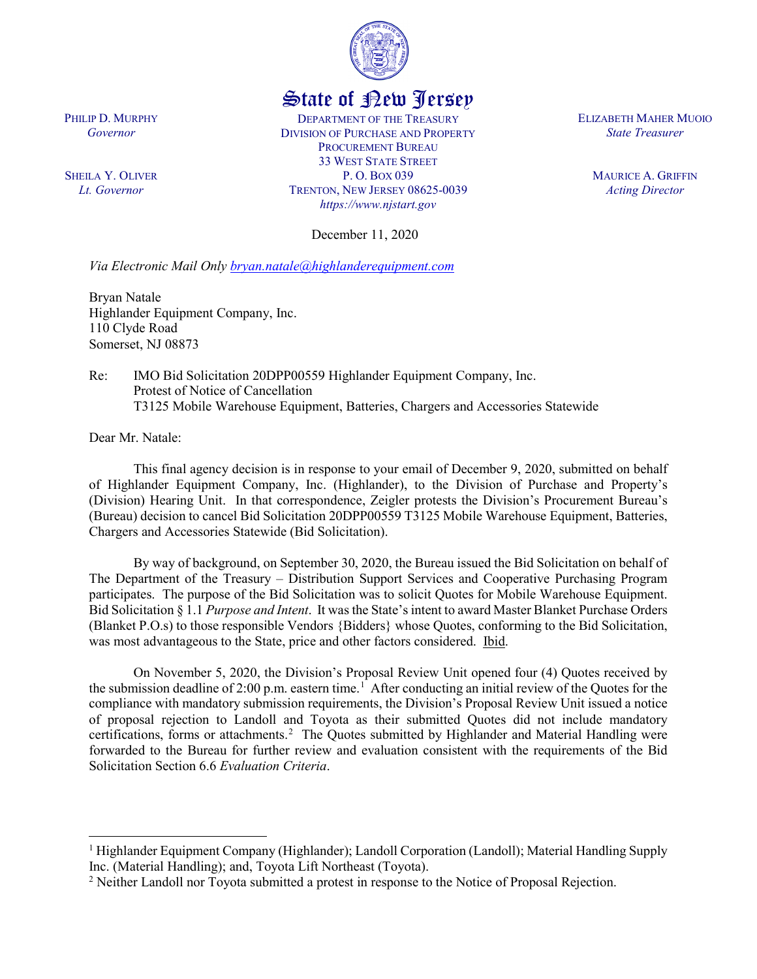

## State of New Jersey

DEPARTMENT OF THE TREASURY DIVISION OF PURCHASE AND PROPERTY PROCUREMENT BUREAU 33 WEST STATE STREET P. O. BOX 039 TRENTON, NEW JERSEY 08625-0039 *https://www.njstart.gov*

December 11, 2020

*Via Electronic Mail Only [bryan.natale@highlanderequipment.com](mailto:bryan.natale@highlanderequipment.com)*

Bryan Natale Highlander Equipment Company, Inc. 110 Clyde Road Somerset, NJ 08873

Re: IMO Bid Solicitation 20DPP00559 Highlander Equipment Company, Inc. Protest of Notice of Cancellation T3125 Mobile Warehouse Equipment, Batteries, Chargers and Accessories Statewide

Dear Mr. Natale:

 $\overline{\phantom{a}}$ 

This final agency decision is in response to your email of December 9, 2020, submitted on behalf of Highlander Equipment Company, Inc. (Highlander), to the Division of Purchase and Property's (Division) Hearing Unit. In that correspondence, Zeigler protests the Division's Procurement Bureau's (Bureau) decision to cancel Bid Solicitation 20DPP00559 T3125 Mobile Warehouse Equipment, Batteries, Chargers and Accessories Statewide (Bid Solicitation).

By way of background, on September 30, 2020, the Bureau issued the Bid Solicitation on behalf of The Department of the Treasury – Distribution Support Services and Cooperative Purchasing Program participates. The purpose of the Bid Solicitation was to solicit Quotes for Mobile Warehouse Equipment. Bid Solicitation § 1.1 *Purpose and Intent*. It was the State's intent to award Master Blanket Purchase Orders (Blanket P.O.s) to those responsible Vendors {Bidders} whose Quotes, conforming to the Bid Solicitation, was most advantageous to the State, price and other factors considered. Ibid.

On November 5, 2020, the Division's Proposal Review Unit opened four (4) Quotes received by the submission deadline of 2:00 p.m. eastern time.<sup>[1](#page-0-0)</sup> After conducting an initial review of the Quotes for the compliance with mandatory submission requirements, the Division's Proposal Review Unit issued a notice of proposal rejection to Landoll and Toyota as their submitted Quotes did not include mandatory certifications, forms or attachments.<sup>[2](#page-0-1)</sup> The Quotes submitted by Highlander and Material Handling were forwarded to the Bureau for further review and evaluation consistent with the requirements of the Bid Solicitation Section 6.6 *Evaluation Criteria*.

PHILIP D. MURPHY *Governor*

SHEILA Y. OLIVER *Lt. Governor*

ELIZABETH MAHER MUOIO *State Treasurer*

> MAURICE A. GRIFFIN *Acting Director*

<span id="page-0-0"></span><sup>1</sup> Highlander Equipment Company (Highlander); Landoll Corporation (Landoll); Material Handling Supply Inc. (Material Handling); and, Toyota Lift Northeast (Toyota).

<span id="page-0-1"></span><sup>&</sup>lt;sup>2</sup> Neither Landoll nor Toyota submitted a protest in response to the Notice of Proposal Rejection.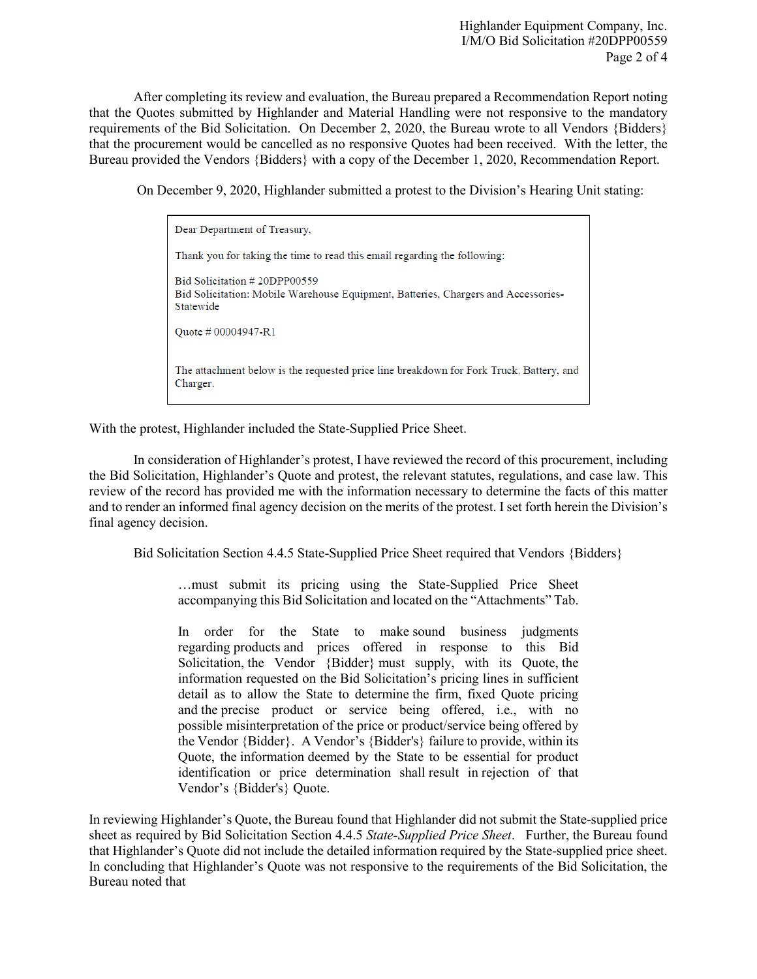After completing its review and evaluation, the Bureau prepared a Recommendation Report noting that the Quotes submitted by Highlander and Material Handling were not responsive to the mandatory requirements of the Bid Solicitation. On December 2, 2020, the Bureau wrote to all Vendors {Bidders} that the procurement would be cancelled as no responsive Quotes had been received. With the letter, the Bureau provided the Vendors {Bidders} with a copy of the December 1, 2020, Recommendation Report.

On December 9, 2020, Highlander submitted a protest to the Division's Hearing Unit stating:

Dear Department of Treasury, Thank you for taking the time to read this email regarding the following: Bid Solicitation #20DPP00559 Bid Solicitation: Mobile Warehouse Equipment, Batteries, Chargers and Accessories-Statewide Ouote # 00004947-R1 The attachment below is the requested price line breakdown for Fork Truck, Battery, and Charger.

With the protest, Highlander included the State-Supplied Price Sheet.

In consideration of Highlander's protest, I have reviewed the record of this procurement, including the Bid Solicitation, Highlander's Quote and protest, the relevant statutes, regulations, and case law. This review of the record has provided me with the information necessary to determine the facts of this matter and to render an informed final agency decision on the merits of the protest. I set forth herein the Division's final agency decision.

Bid Solicitation Section 4.4.5 State-Supplied Price Sheet required that Vendors {Bidders}

…must submit its pricing using the State-Supplied Price Sheet accompanying this Bid Solicitation and located on the "Attachments" Tab.

In order for the State to make sound business judgments regarding products and prices offered in response to this Bid Solicitation, the Vendor {Bidder} must supply, with its Quote, the information requested on the Bid Solicitation's pricing lines in sufficient detail as to allow the State to determine the firm, fixed Quote pricing and the precise product or service being offered, i.e., with no possible misinterpretation of the price or product/service being offered by the Vendor {Bidder}. A Vendor's {Bidder's} failure to provide, within its Quote, the information deemed by the State to be essential for product identification or price determination shall result in rejection of that Vendor's {Bidder's} Quote.

In reviewing Highlander's Quote, the Bureau found that Highlander did not submit the State-supplied price sheet as required by Bid Solicitation Section 4.4.5 *State-Supplied Price Sheet*. Further, the Bureau found that Highlander's Quote did not include the detailed information required by the State-supplied price sheet. In concluding that Highlander's Quote was not responsive to the requirements of the Bid Solicitation, the Bureau noted that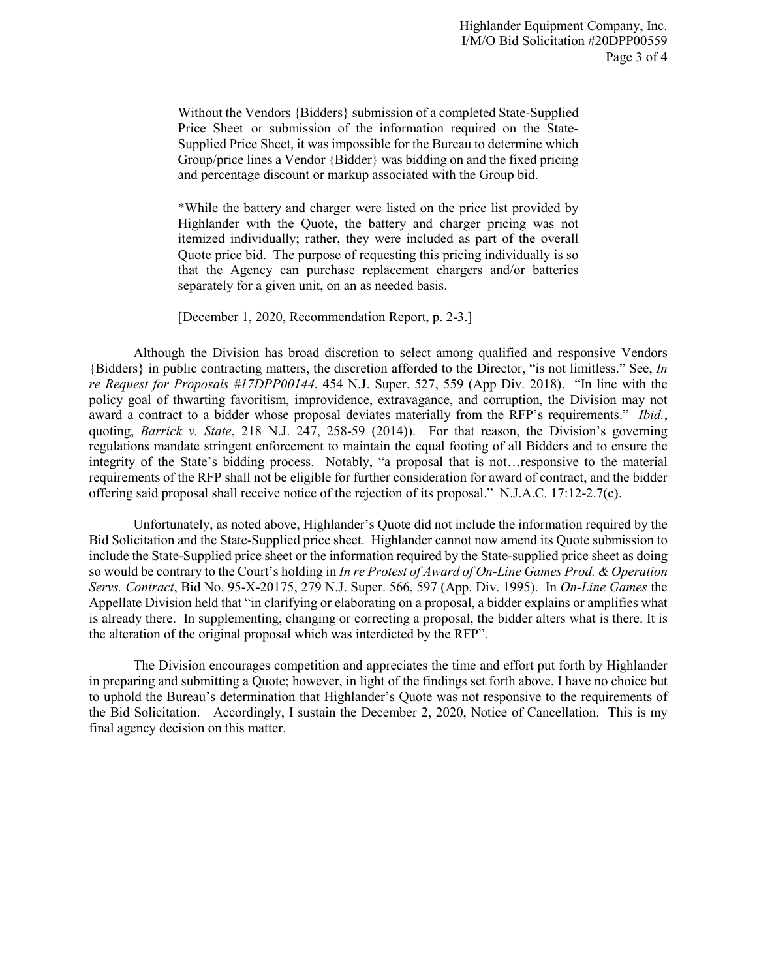Without the Vendors {Bidders} submission of a completed State-Supplied Price Sheet or submission of the information required on the State-Supplied Price Sheet, it was impossible for the Bureau to determine which Group/price lines a Vendor {Bidder} was bidding on and the fixed pricing and percentage discount or markup associated with the Group bid.

\*While the battery and charger were listed on the price list provided by Highlander with the Quote, the battery and charger pricing was not itemized individually; rather, they were included as part of the overall Quote price bid. The purpose of requesting this pricing individually is so that the Agency can purchase replacement chargers and/or batteries separately for a given unit, on an as needed basis.

[December 1, 2020, Recommendation Report, p. 2-3.]

Although the Division has broad discretion to select among qualified and responsive Vendors {Bidders} in public contracting matters, the discretion afforded to the Director, "is not limitless." See, *In re Request for Proposals #17DPP00144*, 454 N.J. Super. 527, 559 (App Div. 2018). "In line with the policy goal of thwarting favoritism, improvidence, extravagance, and corruption, the Division may not award a contract to a bidder whose proposal deviates materially from the RFP's requirements." *Ibid.*, quoting, *Barrick v. State*, 218 N.J. 247, 258-59 (2014)). For that reason, the Division's governing regulations mandate stringent enforcement to maintain the equal footing of all Bidders and to ensure the integrity of the State's bidding process. Notably, "a proposal that is not…responsive to the material requirements of the RFP shall not be eligible for further consideration for award of contract, and the bidder offering said proposal shall receive notice of the rejection of its proposal." N.J.A.C. 17:12-2.7(c).

Unfortunately, as noted above, Highlander's Quote did not include the information required by the Bid Solicitation and the State-Supplied price sheet. Highlander cannot now amend its Quote submission to include the State-Supplied price sheet or the information required by the State-supplied price sheet as doing so would be contrary to the Court's holding in *In re Protest of Award of On-Line Games Prod. & Operation Servs. Contract*, Bid No. 95-X-20175, 279 N.J. Super. 566, 597 (App. Div. 1995). In *On-Line Games* the Appellate Division held that "in clarifying or elaborating on a proposal, a bidder explains or amplifies what is already there. In supplementing, changing or correcting a proposal, the bidder alters what is there. It is the alteration of the original proposal which was interdicted by the RFP".

The Division encourages competition and appreciates the time and effort put forth by Highlander in preparing and submitting a Quote; however, in light of the findings set forth above, I have no choice but to uphold the Bureau's determination that Highlander's Quote was not responsive to the requirements of the Bid Solicitation. Accordingly, I sustain the December 2, 2020, Notice of Cancellation. This is my final agency decision on this matter.